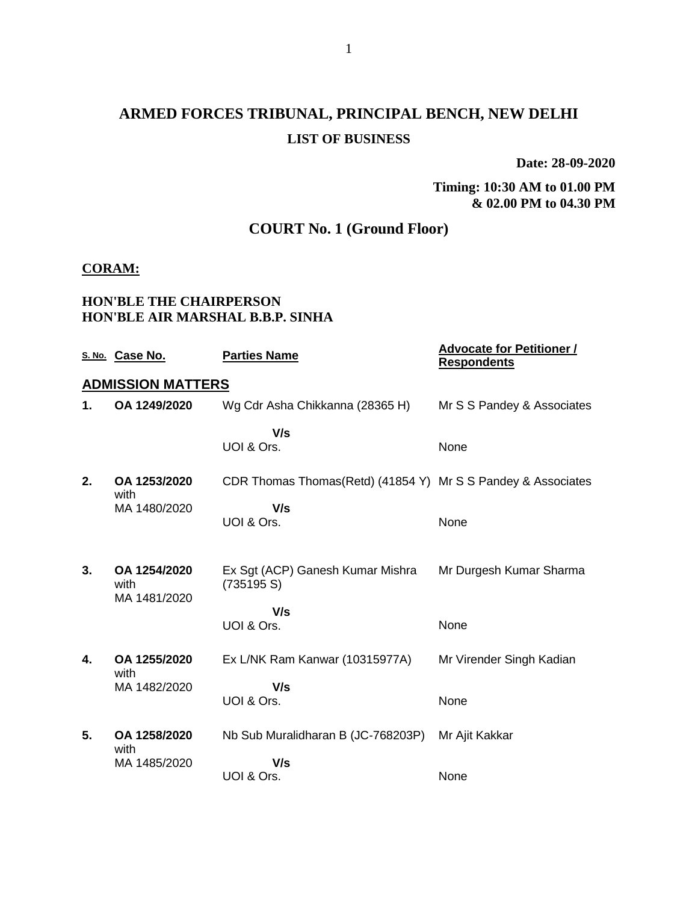# **ARMED FORCES TRIBUNAL, PRINCIPAL BENCH, NEW DELHI LIST OF BUSINESS**

**Date: 28-09-2020**

### **Timing: 10:30 AM to 01.00 PM & 02.00 PM to 04.30 PM**

## **COURT No. 1 (Ground Floor)**

### **CORAM:**

### **HON'BLE THE CHAIRPERSON HON'BLE AIR MARSHAL B.B.P. SINHA**

|    | S. No. Case No.          | <b>Parties Name</b>                                           | <b>Advocate for Petitioner /</b><br><b>Respondents</b> |
|----|--------------------------|---------------------------------------------------------------|--------------------------------------------------------|
|    | <b>ADMISSION MATTERS</b> |                                                               |                                                        |
| 1. | OA 1249/2020             | Wg Cdr Asha Chikkanna (28365 H)                               | Mr S S Pandey & Associates                             |
|    |                          | V/s                                                           |                                                        |
|    |                          | UOI & Ors.                                                    | None                                                   |
| 2. | OA 1253/2020<br>with     | CDR Thomas Thomas (Retd) (41854 Y) Mr S S Pandey & Associates |                                                        |
|    | MA 1480/2020             | V/s                                                           |                                                        |
|    |                          | UOI & Ors.                                                    | None                                                   |
|    |                          |                                                               |                                                        |
| 3. | OA 1254/2020<br>with     | Ex Sgt (ACP) Ganesh Kumar Mishra<br>(735195 S)                | Mr Durgesh Kumar Sharma                                |
|    | MA 1481/2020             | V/s                                                           |                                                        |
|    |                          | UOI & Ors.                                                    | None                                                   |
| 4. | OA 1255/2020<br>with     | Ex L/NK Ram Kanwar (10315977A)                                | Mr Virender Singh Kadian                               |
|    | MA 1482/2020             | V/s                                                           |                                                        |
|    |                          | UOI & Ors.                                                    | None                                                   |
| 5. | OA 1258/2020<br>with     | Nb Sub Muralidharan B (JC-768203P)                            | Mr Ajit Kakkar                                         |
|    | MA 1485/2020             | V/s                                                           |                                                        |
|    |                          | UOI & Ors.                                                    | None                                                   |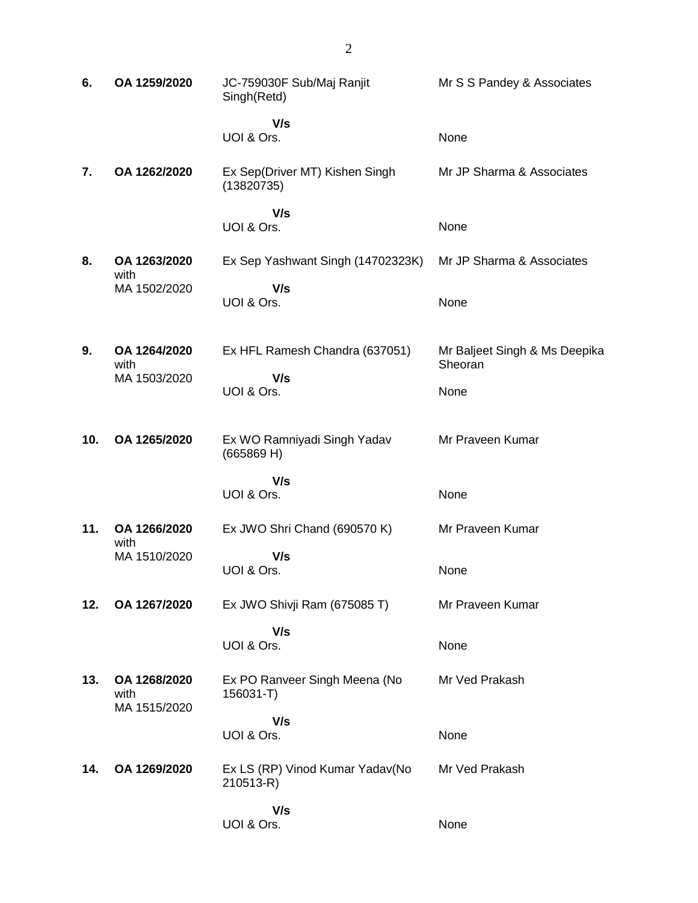| 6.  | OA 1259/2020                         | JC-759030F Sub/Maj Ranjit<br>Singh(Retd)     | Mr S S Pandey & Associates               |
|-----|--------------------------------------|----------------------------------------------|------------------------------------------|
|     |                                      | V/s<br>UOI & Ors.                            | None                                     |
| 7.  | OA 1262/2020                         | Ex Sep(Driver MT) Kishen Singh<br>(13820735) | Mr JP Sharma & Associates                |
|     |                                      | V/s<br>UOI & Ors.                            | None                                     |
| 8.  | OA 1263/2020<br>with                 | Ex Sep Yashwant Singh (14702323K)            | Mr JP Sharma & Associates                |
|     | MA 1502/2020                         | V/s<br>UOI & Ors.                            | None                                     |
| 9.  | OA 1264/2020<br>with                 | Ex HFL Ramesh Chandra (637051)               | Mr Baljeet Singh & Ms Deepika<br>Sheoran |
|     | MA 1503/2020                         | V/s<br>UOI & Ors.                            | None                                     |
| 10. | OA 1265/2020                         | Ex WO Ramniyadi Singh Yadav<br>(665869 H)    | Mr Praveen Kumar                         |
|     |                                      | V/s<br>UOI & Ors.                            | None                                     |
| 11. | OA 1266/2020                         | Ex JWO Shri Chand (690570 K)                 | Mr Praveen Kumar                         |
|     | with<br>MA 1510/2020                 | V/s<br>UOI & Ors.                            | None                                     |
| 12. | OA 1267/2020                         | Ex JWO Shivji Ram (675085 T)                 | Mr Praveen Kumar                         |
|     |                                      | V/s<br>UOI & Ors.                            | None                                     |
| 13. | OA 1268/2020<br>with<br>MA 1515/2020 | Ex PO Ranveer Singh Meena (No<br>156031-T)   | Mr Ved Prakash                           |
|     |                                      | V/s<br>UOI & Ors.                            | None                                     |
| 14. | OA 1269/2020                         | Ex LS (RP) Vinod Kumar Yadav(No<br>210513-R) | Mr Ved Prakash                           |
|     |                                      | V/s<br>UOI & Ors.                            | None                                     |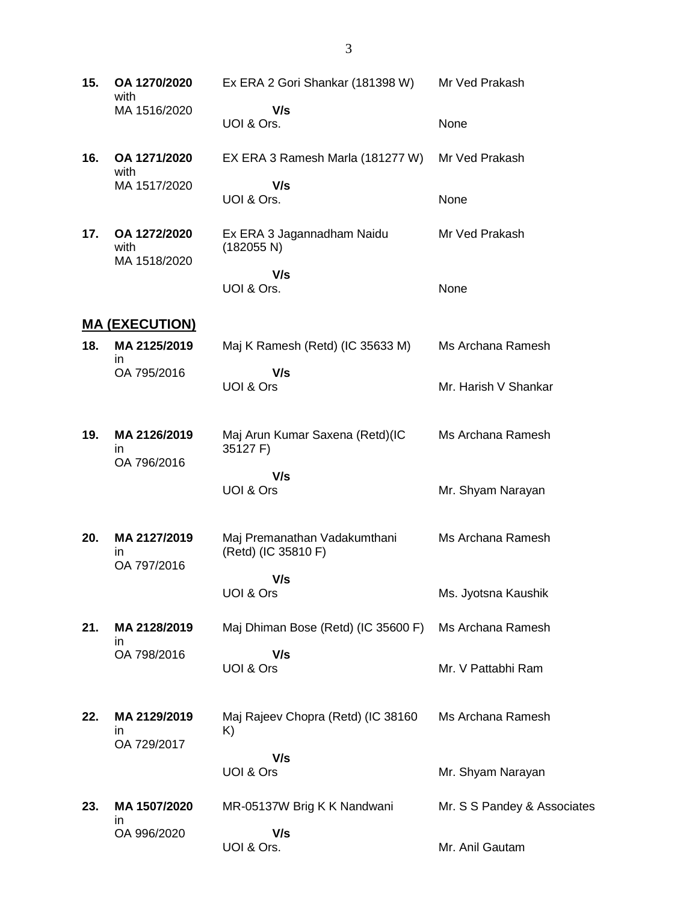**15. OA 1270/2020** with MA 1516/2020 Ex ERA 2 Gori Shankar (181398 W)  **V/s** UOI & Ors. Mr Ved Prakash None **16. OA 1271/2020** with MA 1517/2020 EX ERA 3 Ramesh Marla (181277 W)  **V/s** UOI & Ors. Mr Ved Prakash None **17. OA 1272/2020** with MA 1518/2020 Ex ERA 3 Jagannadham Naidu (182055 N)  **V/s** UOI & Ors. Mr Ved Prakash None **MA (EXECUTION) 18. MA 2125/2019** in OA 795/2016 Maj K Ramesh (Retd) (IC 35633 M)  **V/s** UOI & Ors Ms Archana Ramesh Mr. Harish V Shankar **19. MA 2126/2019** in OA 796/2016 Maj Arun Kumar Saxena (Retd)(IC 35127 F)  **V/s** UOI & Ors Ms Archana Ramesh Mr. Shyam Narayan **20. MA 2127/2019** in OA 797/2016 Maj Premanathan Vadakumthani (Retd) (IC 35810 F)  **V/s** UOI & Ors Ms Archana Ramesh Ms. Jyotsna Kaushik **21. MA 2128/2019** in OA 798/2016 Maj Dhiman Bose (Retd) (IC 35600 F)  **V/s** UOI & Ors Ms Archana Ramesh Mr. V Pattabhi Ram **22. MA 2129/2019** in OA 729/2017 Maj Rajeev Chopra (Retd) (IC 38160 K)  **V/s** UOI & Ors Ms Archana Ramesh Mr. Shyam Narayan **23. MA 1507/2020** in OA 996/2020 MR-05137W Brig K K Nandwani  **V/s** UOI & Ors. Mr. S S Pandey & Associates Mr. Anil Gautam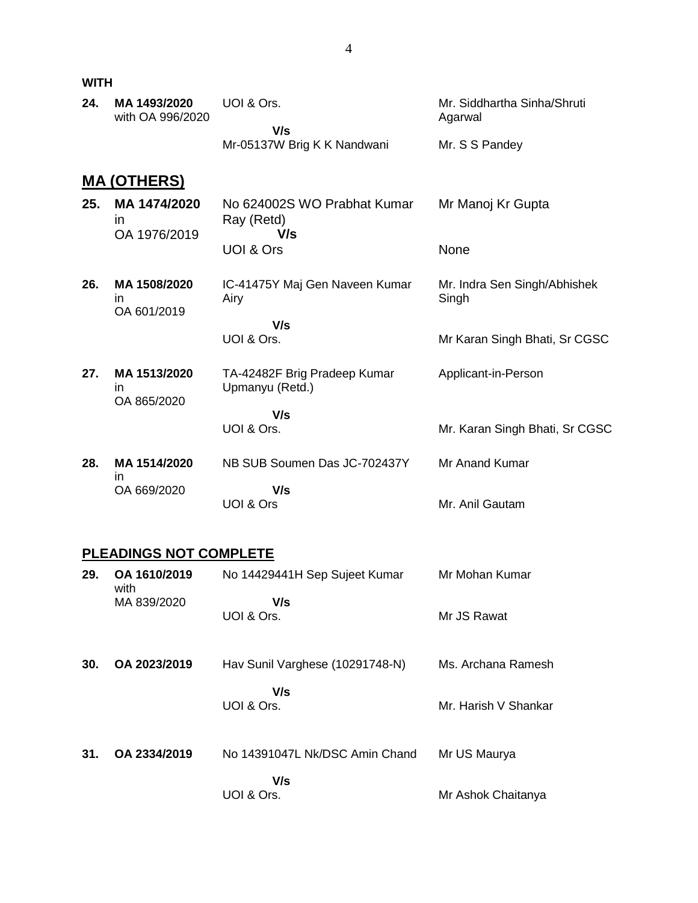**WITH**

| 24. | MA 1493/2020<br>with OA 996/2020          | UOI & Ors.<br>V/s                                | Mr. Siddhartha Sinha/Shruti<br>Agarwal |
|-----|-------------------------------------------|--------------------------------------------------|----------------------------------------|
|     |                                           | Mr-05137W Brig K K Nandwani                      | Mr. S S Pandey                         |
|     | <b>MA (OTHERS)</b>                        |                                                  |                                        |
| 25. | MA 1474/2020<br><i>in</i><br>OA 1976/2019 | No 624002S WO Prabhat Kumar<br>Ray (Retd)<br>V/s | Mr Manoj Kr Gupta                      |
|     |                                           | <b>UOI &amp; Ors</b>                             | None                                   |
| 26. | MA 1508/2020<br>in<br>OA 601/2019         | IC-41475Y Maj Gen Naveen Kumar<br>Airy           | Mr. Indra Sen Singh/Abhishek<br>Singh  |
|     |                                           | V/s<br>UOI & Ors.                                | Mr Karan Singh Bhati, Sr CGSC          |
| 27. | MA 1513/2020<br>in<br>OA 865/2020         | TA-42482F Brig Pradeep Kumar<br>Upmanyu (Retd.)  | Applicant-in-Person                    |
|     |                                           | V/s<br>UOI & Ors.                                | Mr. Karan Singh Bhati, Sr CGSC         |
| 28. | MA 1514/2020                              | NB SUB Soumen Das JC-702437Y                     | Mr Anand Kumar                         |
|     | in<br>OA 669/2020                         | V/s<br>UOI & Ors                                 | Mr. Anil Gautam                        |
|     |                                           |                                                  |                                        |

## **PLEADINGS NOT COMPLETE**

| 29. | OA 1610/2019<br>with | No 14429441H Sep Sujeet Kumar   | Mr Mohan Kumar       |
|-----|----------------------|---------------------------------|----------------------|
|     | MA 839/2020          | V/s<br>UOI & Ors.               | Mr JS Rawat          |
| 30. | OA 2023/2019         | Hav Sunil Varghese (10291748-N) | Ms. Archana Ramesh   |
|     |                      | V/s<br>UOI & Ors.               | Mr. Harish V Shankar |
| 31. | OA 2334/2019         | No 14391047L Nk/DSC Amin Chand  | Mr US Maurya         |
|     |                      | V/s<br>UOI & Ors.               | Mr Ashok Chaitanya   |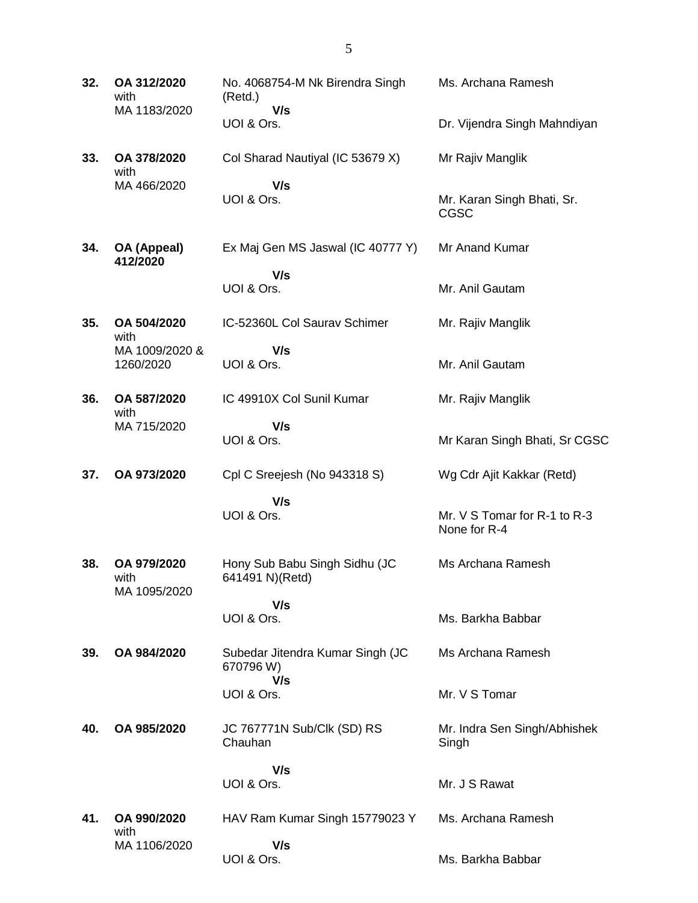| 32. | OA 312/2020<br>with<br>MA 1183/2020 | No. 4068754-M Nk Birendra Singh<br>(Retd.)<br>V/s | Ms. Archana Ramesh                           |
|-----|-------------------------------------|---------------------------------------------------|----------------------------------------------|
|     |                                     | UOI & Ors.                                        | Dr. Vijendra Singh Mahndiyan                 |
| 33. | OA 378/2020<br>with                 | Col Sharad Nautiyal (IC 53679 X)                  | Mr Rajiv Manglik                             |
|     | MA 466/2020                         | V/s<br>UOI & Ors.                                 | Mr. Karan Singh Bhati, Sr.<br>CGSC           |
| 34. | OA (Appeal)<br>412/2020             | Ex Maj Gen MS Jaswal (IC 40777 Y)                 | Mr Anand Kumar                               |
|     |                                     | V/s<br>UOI & Ors.                                 | Mr. Anil Gautam                              |
| 35. | OA 504/2020<br>with                 | IC-52360L Col Saurav Schimer                      | Mr. Rajiv Manglik                            |
|     | MA 1009/2020 &<br>1260/2020         | V/s<br>UOI & Ors.                                 | Mr. Anil Gautam                              |
| 36. | OA 587/2020<br>with                 | IC 49910X Col Sunil Kumar                         | Mr. Rajiv Manglik                            |
|     | MA 715/2020                         | V/s<br>UOI & Ors.                                 | Mr Karan Singh Bhati, Sr CGSC                |
| 37. | OA 973/2020                         | Cpl C Sreejesh (No 943318 S)                      | Wg Cdr Ajit Kakkar (Retd)                    |
|     |                                     | V/s<br>UOI & Ors.                                 | Mr. V S Tomar for R-1 to R-3<br>None for R-4 |
| 38. | OA 979/2020<br>with<br>MA 1095/2020 | Hony Sub Babu Singh Sidhu (JC<br>641491 N)(Retd)  | Ms Archana Ramesh                            |
|     |                                     | V/s<br>UOI & Ors.                                 | Ms. Barkha Babbar                            |
| 39. | OA 984/2020                         | Subedar Jitendra Kumar Singh (JC<br>670796 W)     | Ms Archana Ramesh                            |
|     |                                     | V/s<br>UOI & Ors.                                 | Mr. V S Tomar                                |
| 40. | OA 985/2020                         | JC 767771N Sub/Clk (SD) RS<br>Chauhan             | Mr. Indra Sen Singh/Abhishek<br>Singh        |
|     |                                     | V/s<br>UOI & Ors.                                 | Mr. J S Rawat                                |
| 41. | OA 990/2020<br>with                 | HAV Ram Kumar Singh 15779023 Y                    | Ms. Archana Ramesh                           |
|     | MA 1106/2020                        | V/s                                               |                                              |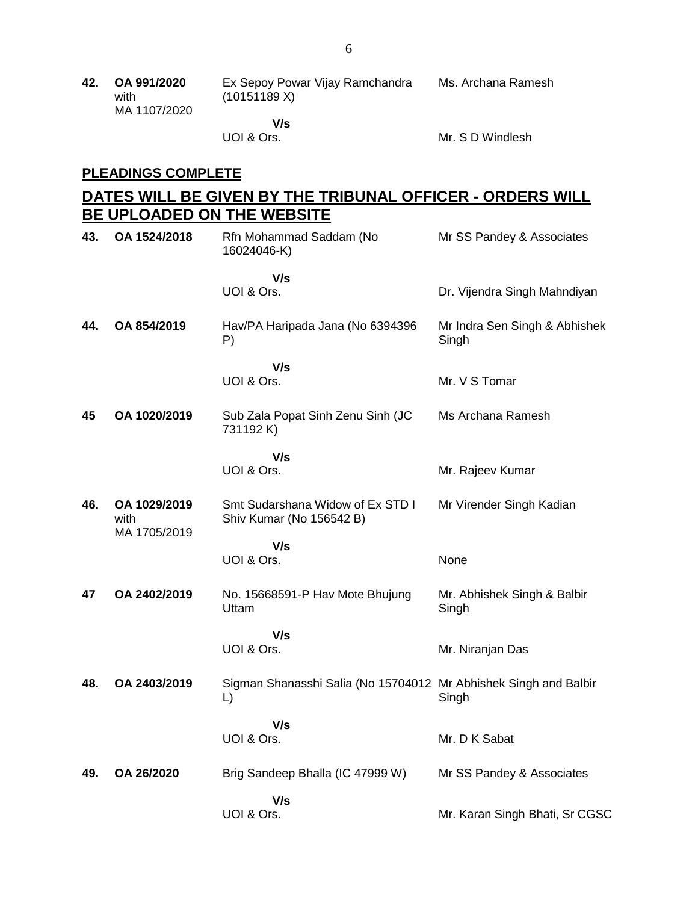UOI & Ors.

Mr. S D Windlesh

## **PLEADINGS COMPLETE**

## **DATES WILL BE GIVEN BY THE TRIBUNAL OFFICER - ORDERS WILL BE UPLOADED ON THE WEBSITE**

| 43. | OA 1524/2018                         | Rfn Mohammad Saddam (No<br>16024046-K)                                 | Mr SS Pandey & Associates              |
|-----|--------------------------------------|------------------------------------------------------------------------|----------------------------------------|
|     |                                      | V/s<br>UOI & Ors.                                                      | Dr. Vijendra Singh Mahndiyan           |
| 44. | OA 854/2019                          | Hav/PA Haripada Jana (No 6394396<br>P)                                 | Mr Indra Sen Singh & Abhishek<br>Singh |
|     |                                      | V/s<br>UOI & Ors.                                                      | Mr. V S Tomar                          |
| 45  | OA 1020/2019                         | Sub Zala Popat Sinh Zenu Sinh (JC<br>731192 K)                         | Ms Archana Ramesh                      |
|     |                                      | V/s<br>UOI & Ors.                                                      | Mr. Rajeev Kumar                       |
| 46. | OA 1029/2019<br>with<br>MA 1705/2019 | Smt Sudarshana Widow of Ex STD I<br>Shiv Kumar (No 156542 B)           | Mr Virender Singh Kadian               |
|     |                                      | V/s<br>UOI & Ors.                                                      | None                                   |
| 47  | OA 2402/2019                         | No. 15668591-P Hav Mote Bhujung<br>Uttam                               | Mr. Abhishek Singh & Balbir<br>Singh   |
|     |                                      | V/s<br>UOI & Ors.                                                      | Mr. Niranjan Das                       |
| 48. | OA 2403/2019                         | Sigman Shanasshi Salia (No 15704012 Mr Abhishek Singh and Balbir<br>L) | Singh                                  |
|     |                                      | V/s<br>UOI & Ors.                                                      | Mr. D K Sabat                          |
| 49. | OA 26/2020                           | Brig Sandeep Bhalla (IC 47999 W)                                       | Mr SS Pandey & Associates              |
|     |                                      | V/s<br>UOI & Ors.                                                      | Mr. Karan Singh Bhati, Sr CGSC         |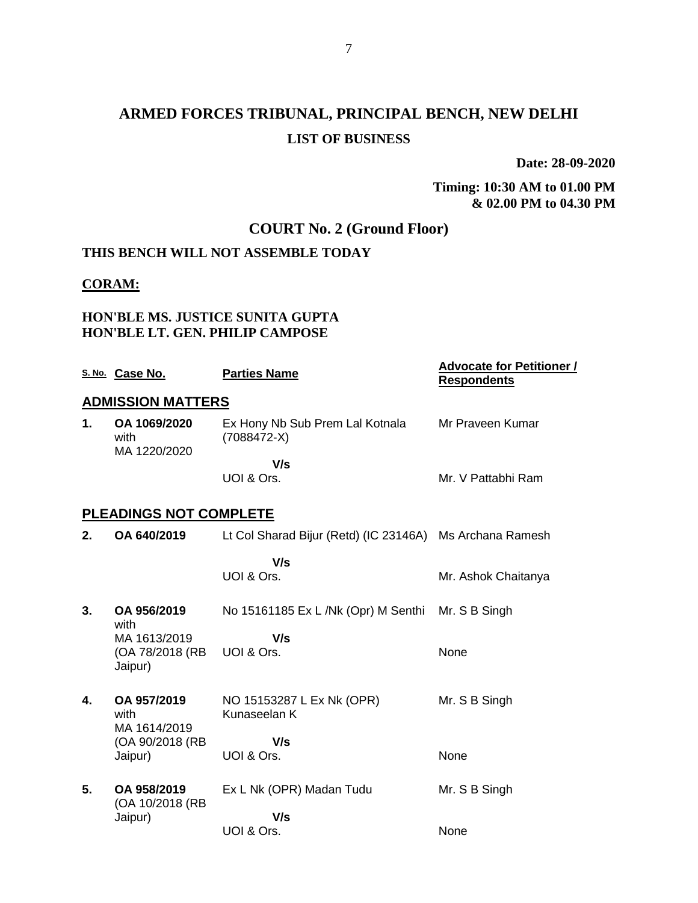# **ARMED FORCES TRIBUNAL, PRINCIPAL BENCH, NEW DELHI LIST OF BUSINESS**

**Date: 28-09-2020**

#### **Timing: 10:30 AM to 01.00 PM & 02.00 PM to 04.30 PM**

## **COURT No. 2 (Ground Floor)**

## **THIS BENCH WILL NOT ASSEMBLE TODAY**

#### **CORAM:**

### **HON'BLE MS. JUSTICE SUNITA GUPTA HON'BLE LT. GEN. PHILIP CAMPOSE**

|    | S. No. Case No.                                    | <b>Parties Name</b>                                      | <b>Advocate for Petitioner /</b><br><b>Respondents</b> |
|----|----------------------------------------------------|----------------------------------------------------------|--------------------------------------------------------|
|    | <b>ADMISSION MATTERS</b>                           |                                                          |                                                        |
| 1. | OA 1069/2020<br>with<br>MA 1220/2020               | Ex Hony Nb Sub Prem Lal Kotnala<br>$(7088472-X)$         | Mr Praveen Kumar                                       |
|    |                                                    | V/s<br>UOI & Ors.                                        | Mr. V Pattabhi Ram                                     |
|    | <b>PLEADINGS NOT COMPLETE</b>                      |                                                          |                                                        |
| 2. | OA 640/2019                                        | Lt Col Sharad Bijur (Retd) (IC 23146A) Ms Archana Ramesh |                                                        |
|    |                                                    | V/s<br>UOI & Ors.                                        | Mr. Ashok Chaitanya                                    |
| 3. | OA 956/2019                                        | No 15161185 Ex L /Nk (Opr) M Senthi                      | Mr. S B Singh                                          |
|    | with<br>MA 1613/2019<br>(OA 78/2018 (RB<br>Jaipur) | V/s<br>UOI & Ors.                                        | None                                                   |
| 4. | OA 957/2019<br>with<br>MA 1614/2019                | NO 15153287 L Ex Nk (OPR)<br>Kunaseelan K                | Mr. S B Singh                                          |
|    | (OA 90/2018 (RB<br>Jaipur)                         | V/s<br>UOI & Ors.                                        | None                                                   |
| 5. | OA 958/2019<br>(OA 10/2018 (RB                     | Ex L Nk (OPR) Madan Tudu                                 | Mr. S B Singh                                          |
|    | Jaipur)                                            | V/s<br>UOI & Ors.                                        | None                                                   |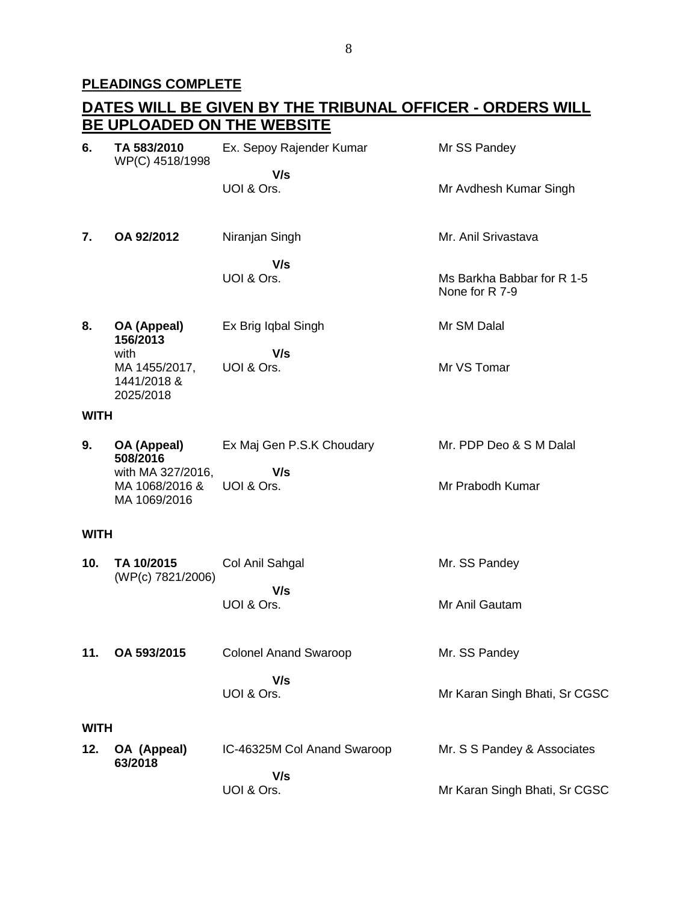# **PLEADINGS COMPLETE**

|             |                                                     | <u>DATES WILL BE GIVEN BY THE TRIBUNAL OFFICER - ORDERS WILL </u> |                                              |
|-------------|-----------------------------------------------------|-------------------------------------------------------------------|----------------------------------------------|
|             |                                                     | BE UPLOADED ON THE WEBSITE                                        |                                              |
| 6.          | TA 583/2010<br>WP(C) 4518/1998                      | Ex. Sepoy Rajender Kumar                                          | Mr SS Pandey                                 |
|             |                                                     | V/s<br>UOI & Ors.                                                 | Mr Avdhesh Kumar Singh                       |
| 7.          | OA 92/2012                                          | Niranjan Singh                                                    | Mr. Anil Srivastava                          |
|             |                                                     | V/s<br>UOI & Ors.                                                 | Ms Barkha Babbar for R 1-5<br>None for R 7-9 |
| 8.          | OA (Appeal)<br>156/2013                             | Ex Brig Iqbal Singh                                               | Mr SM Dalal                                  |
|             | with<br>MA 1455/2017,<br>1441/2018 &<br>2025/2018   | V/s<br>UOI & Ors.                                                 | Mr VS Tomar                                  |
| <b>WITH</b> |                                                     |                                                                   |                                              |
| 9.          | OA (Appeal)<br>508/2016                             | Ex Maj Gen P.S.K Choudary                                         | Mr. PDP Deo & S M Dalal                      |
|             | with MA 327/2016,<br>MA 1068/2016 &<br>MA 1069/2016 | V/s<br>UOI & Ors.                                                 | Mr Prabodh Kumar                             |
| <b>WITH</b> |                                                     |                                                                   |                                              |
| 10.         | TA 10/2015<br>(WP(c) 7821/2006)                     | Col Anil Sahgal                                                   | Mr. SS Pandey                                |
|             |                                                     | V/s<br>UOI & Ors.                                                 | Mr Anil Gautam                               |
| 11.         | OA 593/2015                                         | <b>Colonel Anand Swaroop</b>                                      | Mr. SS Pandey                                |
|             |                                                     | V/s<br>UOI & Ors.                                                 | Mr Karan Singh Bhati, Sr CGSC                |
| <b>WITH</b> |                                                     |                                                                   |                                              |
| 12.         | OA (Appeal)<br>63/2018                              | IC-46325M Col Anand Swaroop                                       | Mr. S S Pandey & Associates                  |
|             |                                                     | V/s<br>UOI & Ors.                                                 | Mr Karan Singh Bhati, Sr CGSC                |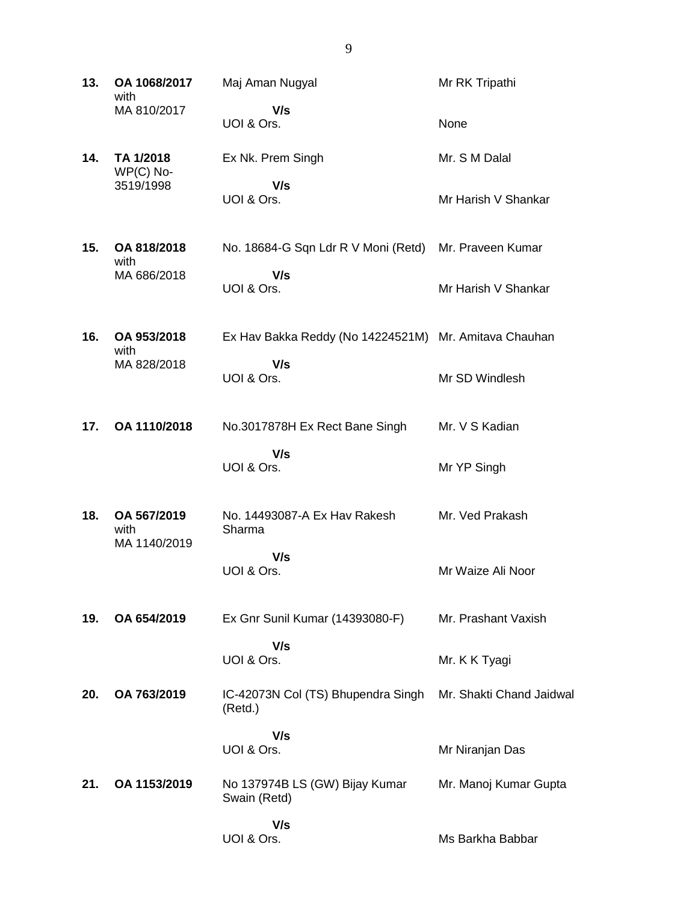**13. OA 1068/2017** with MA 810/2017 Maj Aman Nugyal  **V/s** UOI & Ors. Mr RK Tripathi None **14. TA 1/2018** WP(C) No-3519/1998 Ex Nk. Prem Singh  **V/s** UOI & Ors. Mr. S M Dalal Mr Harish V Shankar **15. OA 818/2018** with MA 686/2018 No. 18684-G Sqn Ldr R V Moni (Retd) Mr. Praveen Kumar  **V/s** UOI & Ors. Mr Harish V Shankar **16. OA 953/2018** with MA 828/2018 Ex Hav Bakka Reddy (No 14224521M) Mr. Amitava Chauhan  **V/s** UOI & Ors. Mr SD Windlesh **17. OA 1110/2018** No.3017878H Ex Rect Bane Singh  **V/s** UOI & Ors. Mr. V S Kadian Mr YP Singh **18. OA 567/2019** with MA 1140/2019 No. 14493087-A Ex Hav Rakesh Sharma  **V/s** UOI & Ors. Mr. Ved Prakash Mr Waize Ali Noor **19. OA 654/2019** Ex Gnr Sunil Kumar (14393080-F)  **V/s** UOI & Ors. Mr. Prashant Vaxish Mr. K K Tyagi **20. OA 763/2019** IC-42073N Col (TS) Bhupendra Singh (Retd.)  **V/s** UOI & Ors. Mr. Shakti Chand Jaidwal Mr Niranjan Das **21. OA 1153/2019** No 137974B LS (GW) Bijay Kumar Swain (Retd)  **V/s** UOI & Ors. Mr. Manoj Kumar Gupta Ms Barkha Babbar